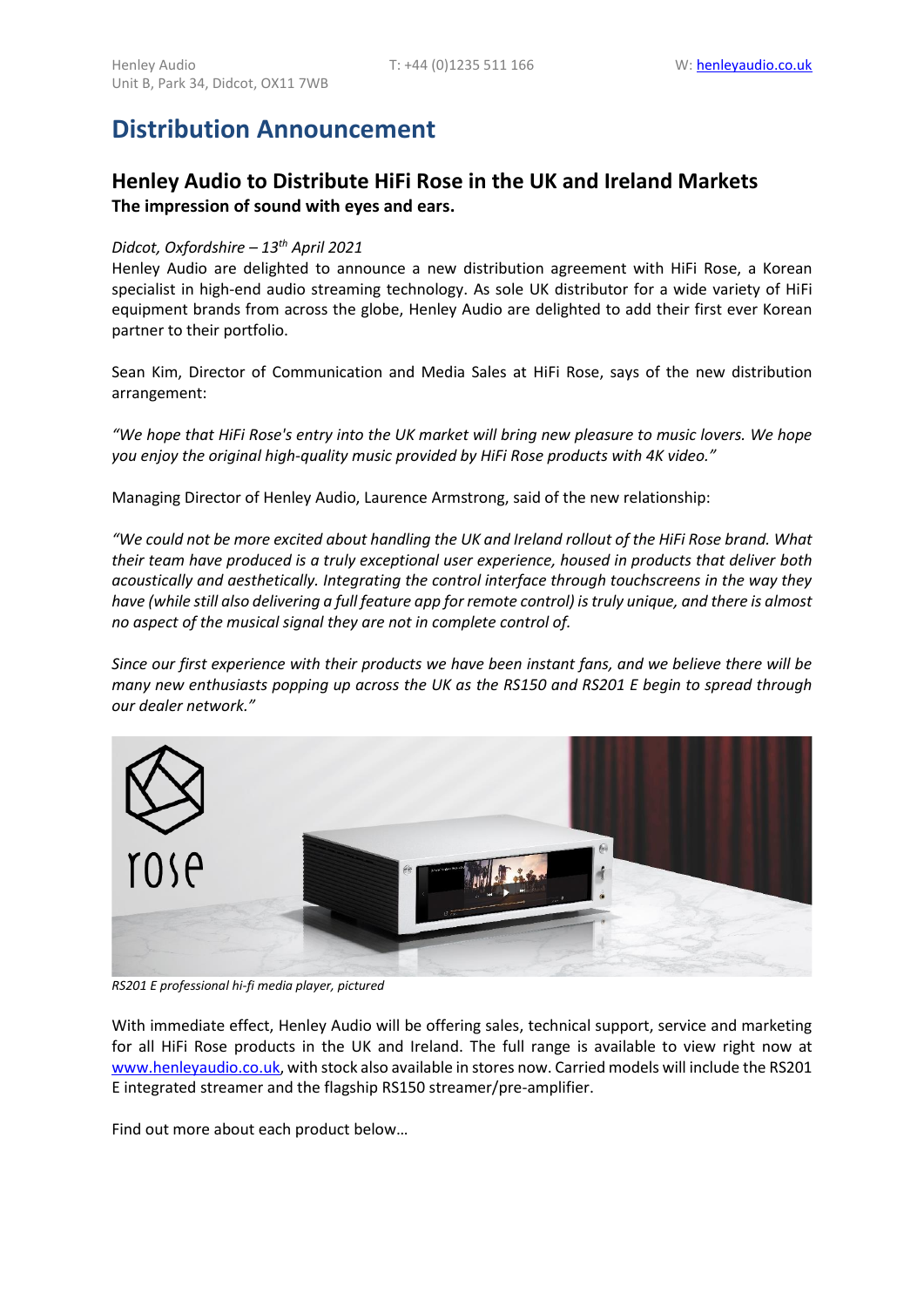# **Distribution Announcement**

### **Henley Audio to Distribute HiFi Rose in the UK and Ireland Markets The impression of sound with eyes and ears.**

#### *Didcot, Oxfordshire – 13th April 2021*

Henley Audio are delighted to announce a new distribution agreement with HiFi Rose, a Korean specialist in high-end audio streaming technology. As sole UK distributor for a wide variety of HiFi equipment brands from across the globe, Henley Audio are delighted to add their first ever Korean partner to their portfolio.

Sean Kim, Director of Communication and Media Sales at HiFi Rose, says of the new distribution arrangement:

*"We hope that HiFi Rose's entry into the UK market will bring new pleasure to music lovers. We hope you enjoy the original high-quality music provided by HiFi Rose products with 4K video."*

Managing Director of Henley Audio, Laurence Armstrong, said of the new relationship:

*"We could not be more excited about handling the UK and Ireland rollout of the HiFi Rose brand. What their team have produced is a truly exceptional user experience, housed in products that deliver both acoustically and aesthetically. Integrating the control interface through touchscreens in the way they have (while still also delivering a full feature app for remote control) is truly unique, and there is almost no aspect of the musical signal they are not in complete control of.*

*Since our first experience with their products we have been instant fans, and we believe there will be many new enthusiasts popping up across the UK as the RS150 and RS201 E begin to spread through our dealer network."*



*RS201 E professional hi-fi media player, pictured*

With immediate effect, Henley Audio will be offering sales, technical support, service and marketing for all HiFi Rose products in the UK and Ireland. The full range is available to view right now at [www.henleyaudio.co.uk,](http://www.henleyaudio.co.uk/) with stock also available in stores now. Carried models will include the RS201 E integrated streamer and the flagship RS150 streamer/pre-amplifier.

Find out more about each product below…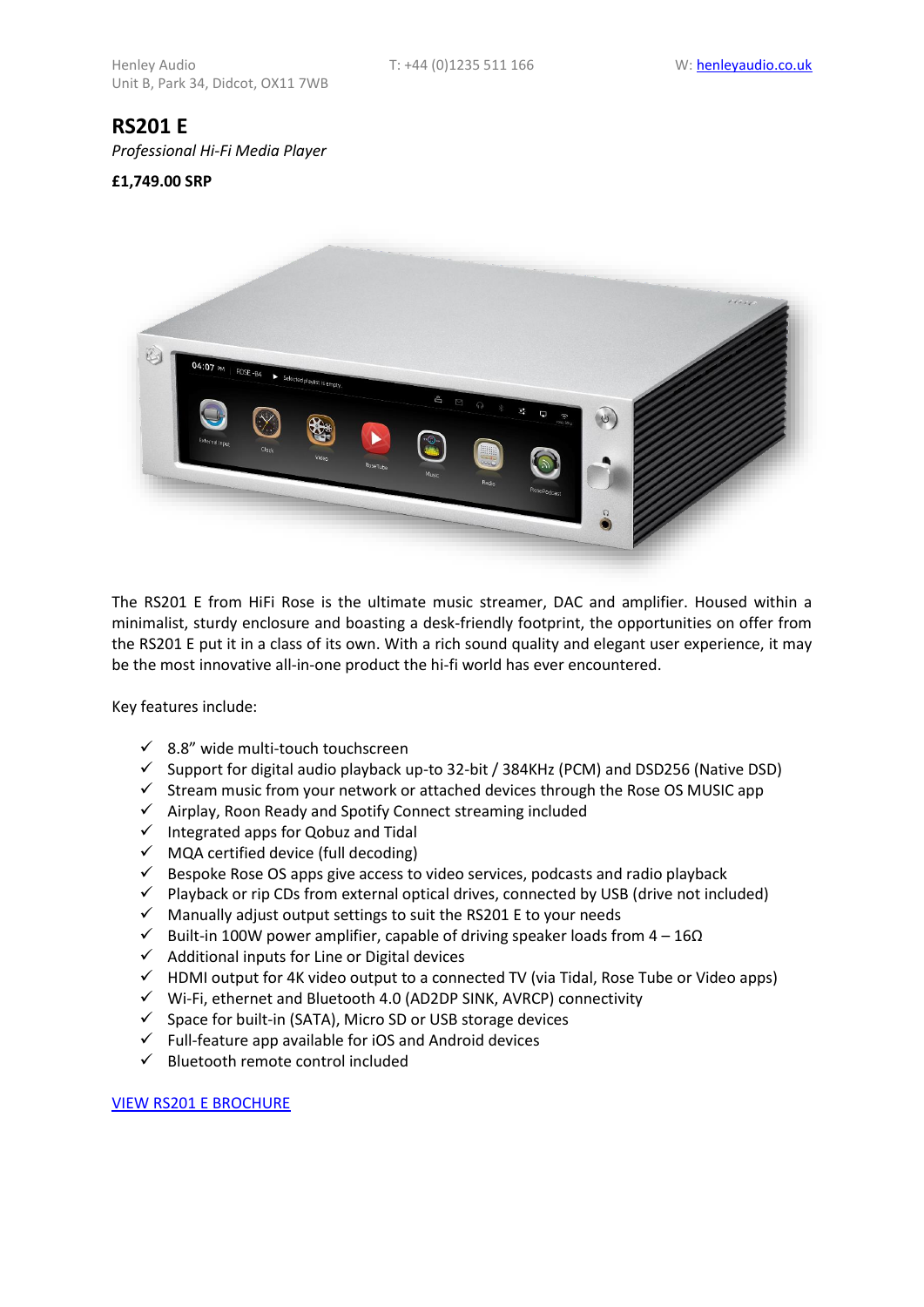## **RS201 E**

*Professional Hi-Fi Media Player*

#### **£1,749.00 SRP**



The RS201 E from HiFi Rose is the ultimate music streamer, DAC and amplifier. Housed within a minimalist, sturdy enclosure and boasting a desk-friendly footprint, the opportunities on offer from the RS201 E put it in a class of its own. With a rich sound quality and elegant user experience, it may be the most innovative all-in-one product the hi-fi world has ever encountered.

Key features include:

- $\checkmark$  8.8" wide multi-touch touchscreen
- $\checkmark$  Support for digital audio playback up-to 32-bit / 384KHz (PCM) and DSD256 (Native DSD)
- ✓ Stream music from your network or attached devices through the Rose OS MUSIC app
- ✓ Airplay, Roon Ready and Spotify Connect streaming included
- $\checkmark$  Integrated apps for Qobuz and Tidal
- $\checkmark$  MQA certified device (full decoding)
- $\checkmark$  Bespoke Rose OS apps give access to video services, podcasts and radio playback
- $\checkmark$  Playback or rip CDs from external optical drives, connected by USB (drive not included)
- ✓ Manually adjust output settings to suit the RS201 E to your needs
- $\checkmark$  Built-in 100W power amplifier, capable of driving speaker loads from 4 16 $\Omega$
- $\checkmark$  Additional inputs for Line or Digital devices
- $\checkmark$  HDMI output for 4K video output to a connected TV (via Tidal, Rose Tube or Video apps)
- $\checkmark$  Wi-Fi, ethernet and Bluetooth 4.0 (AD2DP SINK, AVRCP) connectivity
- ✓ Space for built-in (SATA), Micro SD or USB storage devices
- $\checkmark$  Full-feature app available for iOS and Android devices
- ✓ Bluetooth remote control included

#### VIEW [RS201 E BROCHURE](https://www.henleyaudio.co.uk/shop/product/viewfile?FileId=6046&ProductId=1185)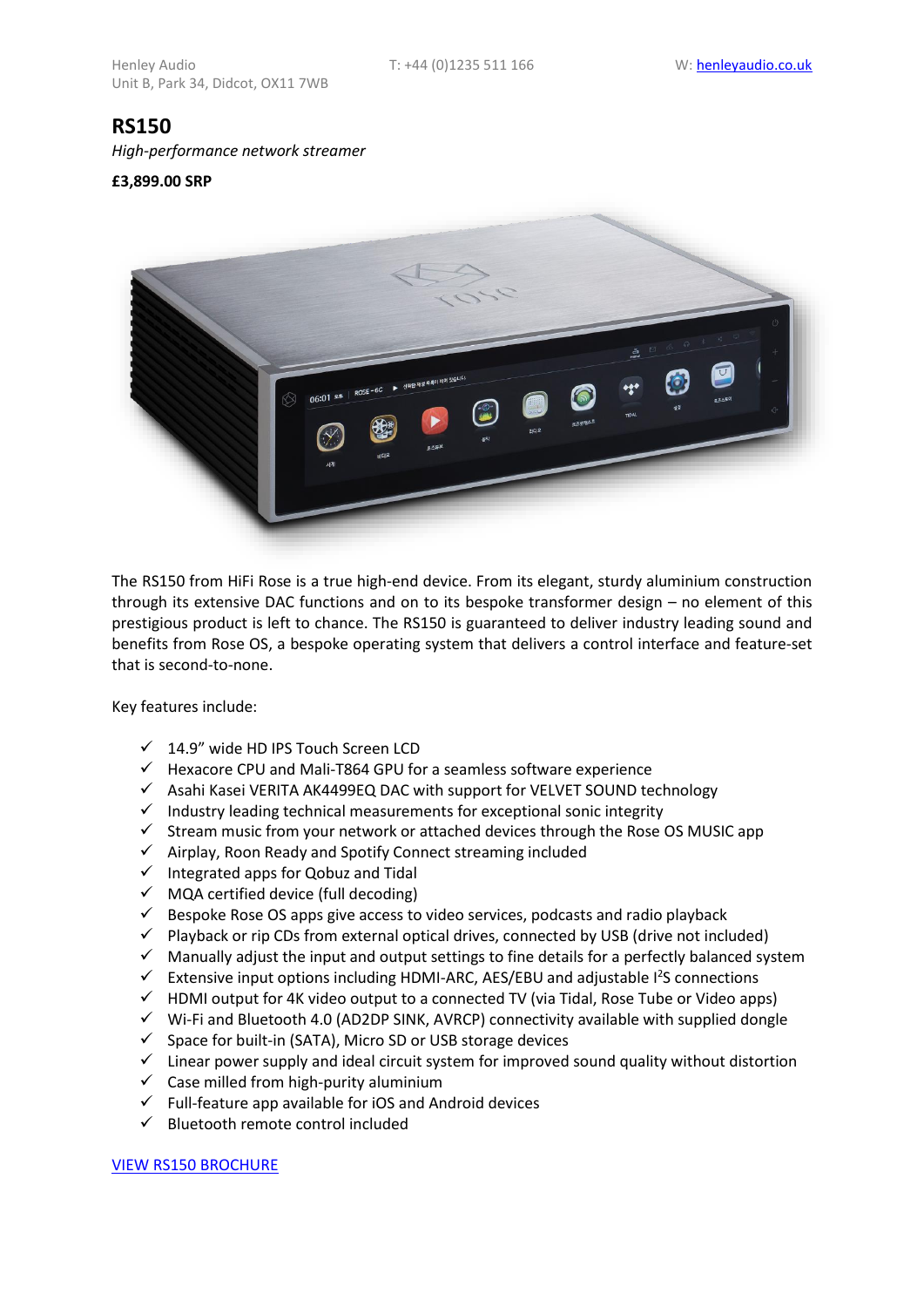### **RS150**

*High-performance network streamer*

#### **£3,899.00 SRP**



The RS150 from HiFi Rose is a true high-end device. From its elegant, sturdy aluminium construction through its extensive DAC functions and on to its bespoke transformer design – no element of this prestigious product is left to chance. The RS150 is guaranteed to deliver industry leading sound and benefits from Rose OS, a bespoke operating system that delivers a control interface and feature-set that is second-to-none.

Key features include:

- ✓ 14.9" wide HD IPS Touch Screen LCD
- $\checkmark$  Hexacore CPU and Mali-T864 GPU for a seamless software experience
- ✓ Asahi Kasei VERITA AK4499EQ DAC with support for VELVET SOUND technology
- $\checkmark$  Industry leading technical measurements for exceptional sonic integrity
- $\checkmark$  Stream music from your network or attached devices through the Rose OS MUSIC app
- ✓ Airplay, Roon Ready and Spotify Connect streaming included
- $\checkmark$  Integrated apps for Qobuz and Tidal
- ✓ MQA certified device (full decoding)
- $\checkmark$  Bespoke Rose OS apps give access to video services, podcasts and radio playback
- $\checkmark$  Playback or rip CDs from external optical drives, connected by USB (drive not included)
- $\checkmark$  Manually adjust the input and output settings to fine details for a perfectly balanced system
- $\checkmark$  Extensive input options including HDMI-ARC, AES/EBU and adjustable  $l^2$ S connections
- ✓ HDMI output for 4K video output to a connected TV (via Tidal, Rose Tube or Video apps)
- ✓ Wi-Fi and Bluetooth 4.0 (AD2DP SINK, AVRCP) connectivity available with supplied dongle
- $\checkmark$  Space for built-in (SATA), Micro SD or USB storage devices
- ✓ Linear power supply and ideal circuit system for improved sound quality without distortion
- $\checkmark$  Case milled from high-purity aluminium
- $\checkmark$  Full-feature app available for iOS and Android devices
- ✓ Bluetooth remote control included

[VIEW RS150](https://www.henleyaudio.co.uk/shop/product/viewfile?FileId=6039&ProductId=1184) BROCHURE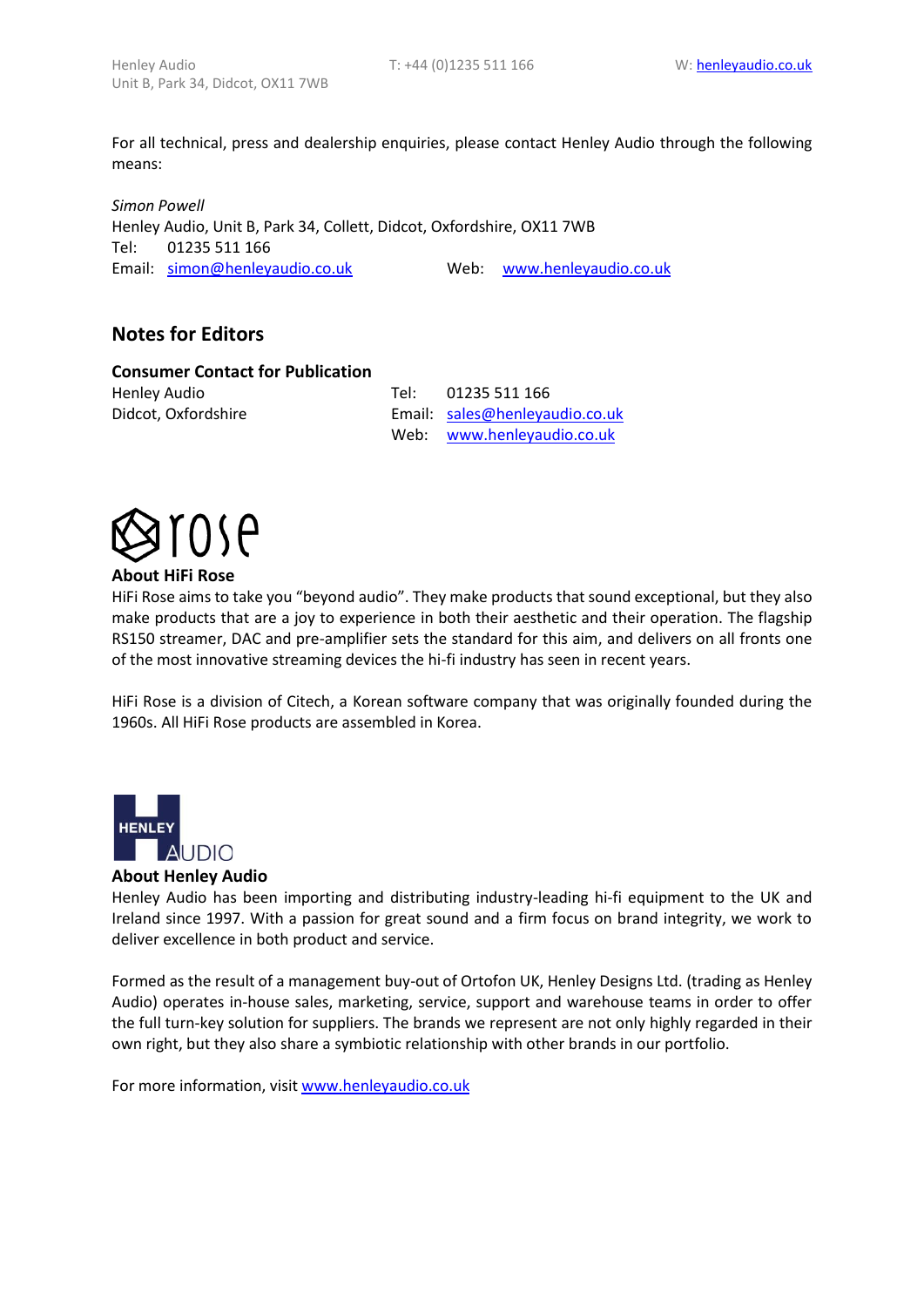For all technical, press and dealership enquiries, please contact Henley Audio through the following means:

*Simon Powell* Henley Audio, Unit B, Park 34, Collett, Didcot, Oxfordshire, OX11 7WB Tel: 01235 511 166 Email: [simon@henleyaudio.co.uk](mailto:simon@henleyaudio.co.uk?subject=Press%20Enquiry) Web: [www.henleyaudio.co.uk](http://www.henleyaudio.co.uk/)

### **Notes for Editors**

#### **Consumer Contact for Publication**

Henley Audio Tel: 01235 511 166 Didcot, Oxfordshire **Email:** [sales@henleyaudio.co.uk](mailto:sales@henleyaudio.co.uk) Web: [www.henleyaudio.co.uk](http://www.henleyaudio.co.uk/) 



#### **About HiFi Rose**

HiFi Rose aims to take you "beyond audio". They make products that sound exceptional, but they also make products that are a joy to experience in both their aesthetic and their operation. The flagship RS150 streamer, DAC and pre-amplifier sets the standard for this aim, and delivers on all fronts one of the most innovative streaming devices the hi-fi industry has seen in recent years.

HiFi Rose is a division of Citech, a Korean software company that was originally founded during the 1960s. All HiFi Rose products are assembled in Korea.



#### **About Henley Audio**

Henley Audio has been importing and distributing industry-leading hi-fi equipment to the UK and Ireland since 1997. With a passion for great sound and a firm focus on brand integrity, we work to deliver excellence in both product and service.

Formed as the result of a management buy-out of Ortofon UK, Henley Designs Ltd. (trading as Henley Audio) operates in-house sales, marketing, service, support and warehouse teams in order to offer the full turn-key solution for suppliers. The brands we represent are not only highly regarded in their own right, but they also share a symbiotic relationship with other brands in our portfolio.

For more information, visi[t www.henleyaudio.co.uk](http://www.henleyaudio.co.uk/)